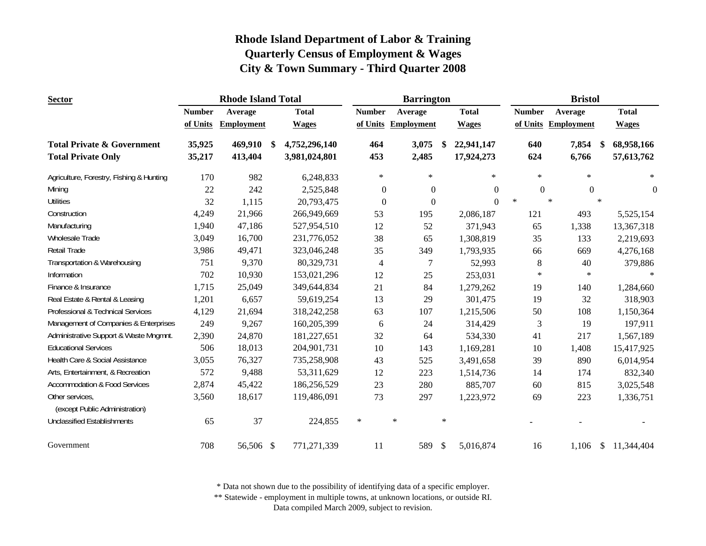| <b>Sector</b>                                     |               | <b>Rhode Island Total</b> |     |               |               |              | <b>Barrington</b>   |        |              |        |               |                     | <b>Bristol</b> |        |              |
|---------------------------------------------------|---------------|---------------------------|-----|---------------|---------------|--------------|---------------------|--------|--------------|--------|---------------|---------------------|----------------|--------|--------------|
|                                                   | <b>Number</b> | Average                   |     | <b>Total</b>  | <b>Number</b> |              | Average             |        | <b>Total</b> |        | <b>Number</b> | Average             |                |        | <b>Total</b> |
|                                                   | of Units      | <b>Employment</b>         |     | <b>Wages</b>  |               |              | of Units Employment |        | <b>Wages</b> |        |               | of Units Employment |                |        | <b>Wages</b> |
| <b>Total Private &amp; Government</b>             | 35,925        | 469,910                   | -\$ | 4,752,296,140 |               | 464          | 3,075               | -\$    | 22,941,147   |        | 640           |                     | 7,854          | - \$   | 68,958,166   |
| <b>Total Private Only</b>                         | 35,217        | 413,404                   |     | 3,981,024,801 |               | 453          | 2,485               |        | 17,924,273   |        | 624           |                     | 6,766          |        | 57,613,762   |
| Agriculture, Forestry, Fishing & Hunting          | 170           | 982                       |     | 6,248,833     |               | $\ast$       | $\star$             |        | $\ast$       |        | $\ast$        |                     | $\ast$         |        | $\ast$       |
| Mining                                            | 22            | 242                       |     | 2,525,848     |               | $\mathbf{0}$ | $\boldsymbol{0}$    |        | $\Omega$     |        | $\Omega$      |                     | $\theta$       |        | $\mathbf{0}$ |
| <b>Utilities</b>                                  | 32            | 1,115                     |     | 20,793,475    |               | $\mathbf{0}$ | $\boldsymbol{0}$    |        | $\Omega$     | $\ast$ |               | $\ast$              |                | $\ast$ |              |
| Construction                                      | 4,249         | 21,966                    |     | 266,949,669   |               | 53           | 195                 |        | 2,086,187    |        | 121           |                     | 493            |        | 5,525,154    |
| Manufacturing                                     | 1,940         | 47,186                    |     | 527,954,510   |               | 12           | 52                  |        | 371,943      |        | 65            |                     | 1,338          |        | 13,367,318   |
| Wholesale Trade                                   | 3,049         | 16,700                    |     | 231,776,052   |               | 38           | 65                  |        | 1,308,819    |        | 35            |                     | 133            |        | 2,219,693    |
| Retail Trade                                      | 3,986         | 49,471                    |     | 323,046,248   |               | 35           | 349                 |        | 1,793,935    |        | 66            |                     | 669            |        | 4,276,168    |
| Transportation & Warehousing                      | 751           | 9,370                     |     | 80,329,731    |               | 4            |                     |        | 52,993       |        | 8             |                     | 40             |        | 379,886      |
| Information                                       | 702           | 10,930                    |     | 153,021,296   |               | 12           | 25                  |        | 253,031      |        | $\ast$        |                     | $\ast$         |        | $\ast$       |
| Finance & Insurance                               | 1,715         | 25,049                    |     | 349,644,834   |               | 21           | 84                  |        | 1,279,262    |        | 19            |                     | 140            |        | 1,284,660    |
| Real Estate & Rental & Leasing                    | 1,201         | 6,657                     |     | 59,619,254    |               | 13           | 29                  |        | 301,475      |        | 19            |                     | 32             |        | 318,903      |
| Professional & Technical Services                 | 4,129         | 21,694                    |     | 318,242,258   |               | 63           | 107                 |        | 1,215,506    |        | 50            |                     | 108            |        | 1,150,364    |
| Management of Companies & Enterprises             | 249           | 9,267                     |     | 160,205,399   |               | 6            | 24                  |        | 314,429      |        | 3             |                     | 19             |        | 197,911      |
| Administrative Support & Waste Mngmnt.            | 2,390         | 24,870                    |     | 181,227,651   |               | 32           | 64                  |        | 534,330      |        | 41            |                     | 217            |        | 1,567,189    |
| <b>Educational Services</b>                       | 506           | 18,013                    |     | 204,901,731   |               | 10           | 143                 |        | 1,169,281    |        | 10            |                     | 1,408          |        | 15,417,925   |
| Health Care & Social Assistance                   | 3,055         | 76,327                    |     | 735,258,908   |               | 43           | 525                 |        | 3,491,658    |        | 39            |                     | 890            |        | 6,014,954    |
| Arts, Entertainment, & Recreation                 | 572           | 9,488                     |     | 53,311,629    |               | 12           | 223                 |        | 1,514,736    |        | 14            |                     | 174            |        | 832,340      |
| <b>Accommodation &amp; Food Services</b>          | 2,874         | 45,422                    |     | 186,256,529   |               | 23           | 280                 |        | 885,707      |        | 60            |                     | 815            |        | 3,025,548    |
| Other services,<br>(except Public Administration) | 3,560         | 18,617                    |     | 119,486,091   |               | 73           | 297                 |        | 1,223,972    |        | 69            |                     | 223            |        | 1,336,751    |
| <b>Unclassified Establishments</b>                | 65            | 37                        |     | 224,855       | $\ast$        |              | $\ast$              | $\ast$ |              |        |               |                     |                |        |              |
| Government                                        | 708           | 56,506 \$                 |     | 771,271,339   |               | 11           | 589                 | \$     | 5,016,874    |        | 16            |                     | 1,106          | \$     | 11,344,404   |

\* Data not shown due to the possibility of identifying data of a specific employer.

\*\* Statewide - employment in multiple towns, at unknown locations, or outside RI.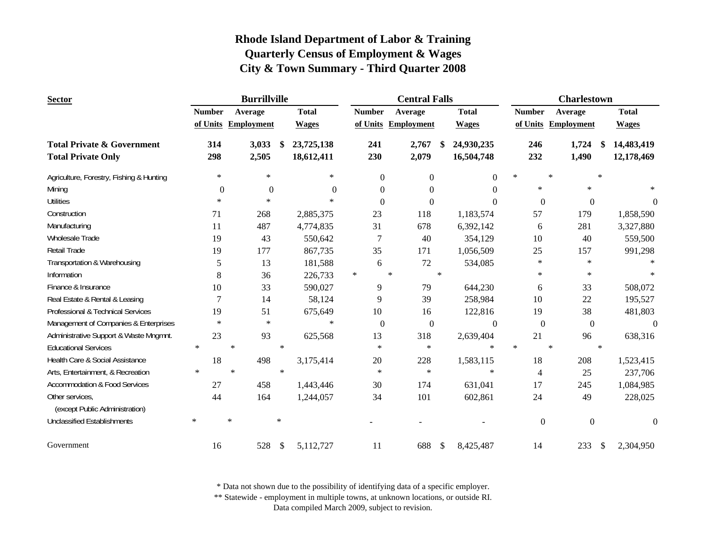| <b>Sector</b>                                     |               | <b>Burrillville</b> |        |                |                | <b>Central Falls</b> |        |                |         |                  | <b>Charlestown</b>  |        |                  |
|---------------------------------------------------|---------------|---------------------|--------|----------------|----------------|----------------------|--------|----------------|---------|------------------|---------------------|--------|------------------|
|                                                   | <b>Number</b> | Average             |        | <b>Total</b>   | <b>Number</b>  | Average              |        | <b>Total</b>   |         | <b>Number</b>    | Average             |        | <b>Total</b>     |
|                                                   |               | of Units Employment |        | <b>Wages</b>   |                | of Units Employment  |        | <b>Wages</b>   |         |                  | of Units Employment |        | <b>Wages</b>     |
| <b>Total Private &amp; Government</b>             | 314           | 3,033               | -\$    | 23,725,138     | 241            | 2,767                |        | 24,930,235     |         | 246              | 1,724               |        | 14,483,419       |
| <b>Total Private Only</b>                         | 298           | 2,505               |        | 18,612,411     | 230            | 2,079                |        | 16,504,748     |         | 232              | 1,490               |        | 12,178,469       |
| Agriculture, Forestry, Fishing & Hunting          | $\ast$        | $\ast$              |        | $\ast$         | $\overline{0}$ | $\overline{0}$       |        | $\overline{0}$ | $\star$ |                  | $\star$             | $\ast$ |                  |
| Mining                                            | $\Omega$      | $\overline{0}$      |        | $\overline{0}$ | $\Omega$       | $\Omega$             |        | $\Omega$       |         | $\ast$           | $\ast$              |        |                  |
| <b>Utilities</b>                                  | $\ast$        | $\ast$              |        | $\ast$         | $\theta$       | $\Omega$             |        | $\Omega$       |         | $\boldsymbol{0}$ | $\mathbf{0}$        |        | $\Omega$         |
| Construction                                      | 71            | 268                 |        | 2,885,375      | 23             | 118                  |        | 1,183,574      |         | 57               | 179                 |        | 1,858,590        |
| Manufacturing                                     | 11            | 487                 |        | 4,774,835      | 31             | 678                  |        | 6,392,142      |         | 6                | 281                 |        | 3,327,880        |
| Wholesale Trade                                   | 19            | 43                  |        | 550,642        | 7              | 40                   |        | 354,129        |         | 10               | 40                  |        | 559,500          |
| Retail Trade                                      | 19            | 177                 |        | 867,735        | 35             | 171                  |        | 1,056,509      |         | 25               | 157                 |        | 991,298          |
| Transportation & Warehousing                      | 5             | 13                  |        | 181,588        | 6              | $72\,$               |        | 534,085        |         | $\ast$           | $\ast$              |        |                  |
| Information                                       | 8             | 36                  |        | 226,733        | $\ast$         | $\star$              | $\ast$ |                |         | $\ast$           | $\ast$              |        |                  |
| Finance & Insurance                               | 10            | 33                  |        | 590,027        | 9              | 79                   |        | 644,230        |         | 6                | 33                  |        | 508,072          |
| Real Estate & Rental & Leasing                    | 7             | 14                  |        | 58,124         | 9              | 39                   |        | 258,984        |         | 10               | 22                  |        | 195,527          |
| Professional & Technical Services                 | 19            | 51                  |        | 675,649        | 10             | 16                   |        | 122,816        |         | 19               | 38                  |        | 481,803          |
| Management of Companies & Enterprises             | $\ast$        | $\ast$              |        | $\ast$         | $\mathbf{0}$   | $\boldsymbol{0}$     |        | $\mathbf{0}$   |         | $\boldsymbol{0}$ | $\boldsymbol{0}$    |        | $\boldsymbol{0}$ |
| Administrative Support & Waste Mngmnt.            | 23            | 93                  |        | 625,568        | 13             | 318                  |        | 2,639,404      |         | 21               | 96                  |        | 638,316          |
| <b>Educational Services</b>                       | $\ast$        | $\ast$              | $\ast$ |                | $\ast$         | $\ast$               |        | $\ast$         | $\star$ |                  | $\ast$              | $\ast$ |                  |
| Health Care & Social Assistance                   | 18            | 498                 |        | 3,175,414      | 20             | 228                  |        | 1,583,115      |         | 18               | 208                 |        | 1,523,415        |
| Arts, Entertainment, & Recreation                 | $\ast$        | $\star$             | $\ast$ |                | $\ast$         | $\ast$               |        | $\ast$         |         | $\overline{4}$   | 25                  |        | 237,706          |
| <b>Accommodation &amp; Food Services</b>          | 27            | 458                 |        | 1,443,446      | 30             | 174                  |        | 631,041        |         | 17               | 245                 |        | 1,084,985        |
| Other services,<br>(except Public Administration) | 44            | 164                 |        | 1,244,057      | 34             | 101                  |        | 602,861        |         | 24               | 49                  |        | 228,025          |
| <b>Unclassified Establishments</b>                | $\ast$        | $\ast$              | $\ast$ |                |                |                      |        |                |         | $\boldsymbol{0}$ | $\mathbf{0}$        |        | $\overline{0}$   |
| Government                                        | 16            | 528                 | \$     | 5,112,727      | 11             | 688                  | \$     | 8,425,487      |         | 14               | 233                 | \$     | 2,304,950        |

\* Data not shown due to the possibility of identifying data of a specific employer.

\*\* Statewide - employment in multiple towns, at unknown locations, or outside RI.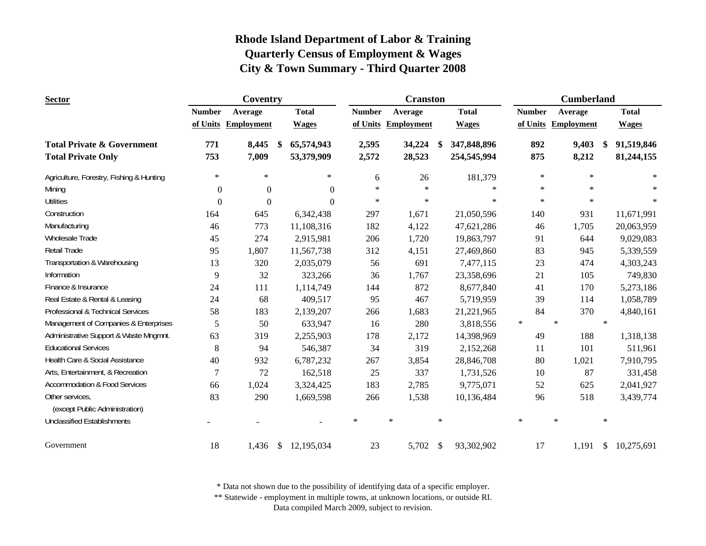| <b>Sector</b>                            |               | Coventry            |      |              |               |        | <b>Cranston</b>   |               |              |        |               | <b>Cumberland</b>   |        |              |
|------------------------------------------|---------------|---------------------|------|--------------|---------------|--------|-------------------|---------------|--------------|--------|---------------|---------------------|--------|--------------|
|                                          | <b>Number</b> | Average             |      | <b>Total</b> | <b>Number</b> |        | Average           |               | <b>Total</b> |        | <b>Number</b> | Average             |        | <b>Total</b> |
|                                          |               | of Units Employment |      | <b>Wages</b> | of Units      |        | <b>Employment</b> |               | <b>Wages</b> |        |               | of Units Employment |        | <b>Wages</b> |
| <b>Total Private &amp; Government</b>    | 771           | 8,445               | -\$  | 65,574,943   | 2,595         |        | 34,224            | \$            | 347,848,896  |        | 892           | 9,403               | \$.    | 91,519,846   |
| <b>Total Private Only</b>                | 753           | 7,009               |      | 53,379,909   | 2,572         |        | 28,523            |               | 254,545,994  |        | 875           | 8,212               |        | 81,244,155   |
| Agriculture, Forestry, Fishing & Hunting | $\ast$        | $\ast$              |      | $\ast$       | 6             |        | 26                |               | 181,379      |        | $\ast$        | $\ast$              |        | $\ast$       |
| Mining                                   | $\mathbf{0}$  | $\boldsymbol{0}$    |      | $\Omega$     | $\ast$        |        | $\ast$            |               | $\ast$       |        | $\ast$        | $\ast$              |        |              |
| <b>Utilities</b>                         | $\theta$      | $\mathbf{0}$        |      | $\Omega$     | $\ast$        |        | $\ast$            |               | $\ast$       |        | $\ast$        | $\ast$              |        | $\ast$       |
| Construction                             | 164           | 645                 |      | 6,342,438    | 297           |        | 1,671             |               | 21,050,596   |        | 140           | 931                 |        | 11,671,991   |
| Manufacturing                            | 46            | 773                 |      | 11,108,316   | 182           |        | 4,122             |               | 47,621,286   |        | 46            | 1,705               |        | 20,063,959   |
| Wholesale Trade                          | 45            | 274                 |      | 2,915,981    | 206           |        | 1,720             |               | 19,863,797   |        | 91            | 644                 |        | 9,029,083    |
| Retail Trade                             | 95            | 1,807               |      | 11,567,738   | 312           |        | 4,151             |               | 27,469,860   |        | 83            | 945                 |        | 5,339,559    |
| Transportation & Warehousing             | 13            | 320                 |      | 2,035,079    | 56            |        | 691               |               | 7,477,115    |        | 23            | 474                 |        | 4,303,243    |
| Information                              | 9             | 32                  |      | 323,266      | 36            |        | 1,767             |               | 23,358,696   |        | 21            | 105                 |        | 749,830      |
| Finance & Insurance                      | 24            | 111                 |      | 1,114,749    | 144           |        | 872               |               | 8,677,840    |        | 41            | 170                 |        | 5,273,186    |
| Real Estate & Rental & Leasing           | 24            | 68                  |      | 409,517      | 95            |        | 467               |               | 5,719,959    |        | 39            | 114                 |        | 1,058,789    |
| Professional & Technical Services        | 58            | 183                 |      | 2,139,207    | 266           |        | 1,683             |               | 21,221,965   |        | 84            | 370                 |        | 4,840,161    |
| Management of Companies & Enterprises    | 5             | 50                  |      | 633,947      | 16            |        | 280               |               | 3,818,556    | $\ast$ |               | $\star$             | $\ast$ |              |
| Administrative Support & Waste Mngmnt.   | 63            | 319                 |      | 2,255,903    | 178           |        | 2,172             |               | 14,398,969   |        | 49            | 188                 |        | 1,318,138    |
| <b>Educational Services</b>              | 8             | 94                  |      | 546,387      | 34            |        | 319               |               | 2,152,268    |        | 11            | 101                 |        | 511,961      |
| Health Care & Social Assistance          | 40            | 932                 |      | 6,787,232    | 267           |        | 3,854             |               | 28,846,708   |        | 80            | 1,021               |        | 7,910,795    |
| Arts, Entertainment, & Recreation        | 7             | 72                  |      | 162,518      | 25            |        | 337               |               | 1,731,526    |        | 10            | 87                  |        | 331,458      |
| <b>Accommodation &amp; Food Services</b> | 66            | 1,024               |      | 3,324,425    | 183           |        | 2,785             |               | 9,775,071    |        | 52            | 625                 |        | 2,041,927    |
| Other services,                          | 83            | 290                 |      | 1,669,598    | 266           |        | 1,538             |               | 10,136,484   |        | 96            | 518                 |        | 3,439,774    |
| (except Public Administration)           |               |                     |      |              |               |        |                   |               |              |        |               |                     |        |              |
| <b>Unclassified Establishments</b>       |               |                     |      |              | $\ast$        | $\ast$ |                   | $\ast$        |              | $\ast$ |               | $\ast$              | $\ast$ |              |
| Government                               | 18            | 1,436               | - \$ | 12,195,034   | 23            |        | 5,702             | $\mathcal{S}$ | 93,302,902   |        | 17            | 1,191               | \$     | 10,275,691   |

\* Data not shown due to the possibility of identifying data of a specific employer.

\*\* Statewide - employment in multiple towns, at unknown locations, or outside RI.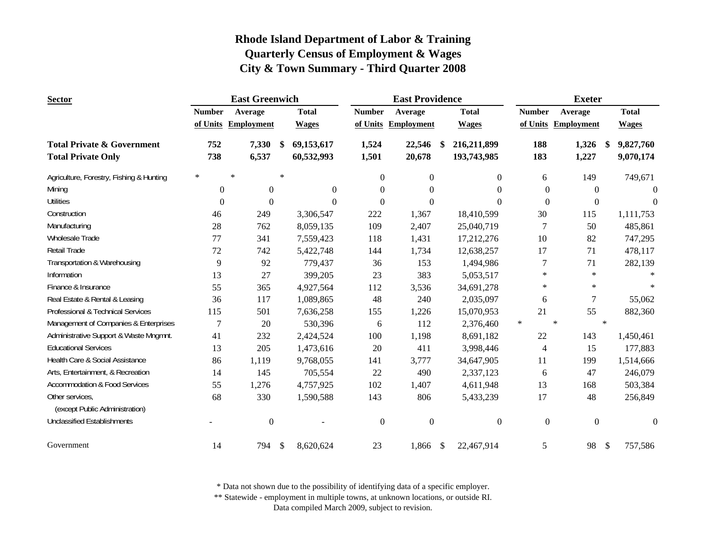| <b>Sector</b>                            |               | <b>East Greenwich</b> |        |              |               | <b>East Providence</b> |     |                  |        |               | <b>Exeter</b>     |                           |              |
|------------------------------------------|---------------|-----------------------|--------|--------------|---------------|------------------------|-----|------------------|--------|---------------|-------------------|---------------------------|--------------|
|                                          | <b>Number</b> | Average               |        | <b>Total</b> | <b>Number</b> | Average                |     | <b>Total</b>     |        | <b>Number</b> | Average           |                           | <b>Total</b> |
|                                          | of Units      | <b>Employment</b>     |        | <b>Wages</b> | of Units      | <b>Employment</b>      |     | <b>Wages</b>     |        | of Units      | <b>Employment</b> |                           | <b>Wages</b> |
| <b>Total Private &amp; Government</b>    | 752           | 7,330                 | \$     | 69,153,617   | 1,524         | 22,546                 | \$. | 216,211,899      |        | 188           | 1,326             | \$.                       | 9,827,760    |
| <b>Total Private Only</b>                | 738           | 6,537                 |        | 60,532,993   | 1,501         | 20,678                 |     | 193,743,985      |        | 183           | 1,227             |                           | 9,070,174    |
| Agriculture, Forestry, Fishing & Hunting | $\ast$        | $\ast$                | $\ast$ |              | $\Omega$      | $\mathbf{0}$           |     | $\overline{0}$   |        | 6             | 149               |                           | 749,671      |
| Mining                                   | $\Omega$      | $\mathbf{0}$          |        | $\theta$     | $\Omega$      | $\Omega$               |     | $\Omega$         |        | $\Omega$      | $\Omega$          |                           | $\Omega$     |
| <b>Utilities</b>                         | $\Omega$      | $\mathbf{0}$          |        | $\theta$     | $\theta$      | $\Omega$               |     | $\Omega$         |        | $\Omega$      | $\Omega$          |                           | $\Omega$     |
| Construction                             | 46            | 249                   |        | 3,306,547    | 222           | 1,367                  |     | 18,410,599       |        | 30            | 115               |                           | 1,111,753    |
| Manufacturing                            | 28            | 762                   |        | 8,059,135    | 109           | 2,407                  |     | 25,040,719       |        | 7             | 50                |                           | 485,861      |
| Wholesale Trade                          | 77            | 341                   |        | 7,559,423    | 118           | 1,431                  |     | 17,212,276       |        | 10            | 82                |                           | 747,295      |
| Retail Trade                             | 72            | 742                   |        | 5,422,748    | 144           | 1,734                  |     | 12,638,257       |        | 17            | 71                |                           | 478,117      |
| Transportation & Warehousing             | 9             | 92                    |        | 779,437      | 36            | 153                    |     | 1,494,986        |        | 7             | 71                |                           | 282,139      |
| Information                              | 13            | 27                    |        | 399,205      | 23            | 383                    |     | 5,053,517        |        | $\ast$        | $\ast$            |                           |              |
| Finance & Insurance                      | 55            | 365                   |        | 4,927,564    | 112           | 3,536                  |     | 34,691,278       |        | $\ast$        | $\ast$            |                           |              |
| Real Estate & Rental & Leasing           | 36            | 117                   |        | 1,089,865    | 48            | 240                    |     | 2,035,097        |        | 6             | 7                 |                           | 55,062       |
| Professional & Technical Services        | 115           | 501                   |        | 7,636,258    | 155           | 1,226                  |     | 15,070,953       |        | 21            | 55                |                           | 882,360      |
| Management of Companies & Enterprises    | 7             | 20                    |        | 530,396      | 6             | 112                    |     | 2,376,460        | $\ast$ |               | $\star$           | $\ast$                    |              |
| Administrative Support & Waste Mngmnt.   | 41            | 232                   |        | 2,424,524    | 100           | 1,198                  |     | 8,691,182        |        | 22            | 143               |                           | 1,450,461    |
| <b>Educational Services</b>              | 13            | 205                   |        | 1,473,616    | 20            | 411                    |     | 3,998,446        |        | 4             | 15                |                           | 177,883      |
| Health Care & Social Assistance          | 86            | 1,119                 |        | 9,768,055    | 141           | 3,777                  |     | 34,647,905       |        | 11            | 199               |                           | 1,514,666    |
| Arts, Entertainment, & Recreation        | 14            | 145                   |        | 705,554      | 22            | 490                    |     | 2,337,123        |        | 6             | 47                |                           | 246,079      |
| <b>Accommodation &amp; Food Services</b> | 55            | 1,276                 |        | 4,757,925    | 102           | 1,407                  |     | 4,611,948        |        | 13            | 168               |                           | 503,384      |
| Other services,                          | 68            | 330                   |        | 1,590,588    | 143           | 806                    |     | 5,433,239        |        | 17            | 48                |                           | 256,849      |
| (except Public Administration)           |               |                       |        |              |               |                        |     |                  |        |               |                   |                           |              |
| <b>Unclassified Establishments</b>       |               | $\boldsymbol{0}$      |        |              | $\mathbf{0}$  | $\mathbf{0}$           |     | $\boldsymbol{0}$ |        | $\mathbf{0}$  | $\theta$          |                           | $\theta$     |
| Government                               | 14            | 794                   | \$     | 8,620,624    | 23            | 1,866                  | \$  | 22,467,914       |        | 5             | 98                | $\boldsymbol{\mathsf{S}}$ | 757,586      |

\* Data not shown due to the possibility of identifying data of a specific employer.

\*\* Statewide - employment in multiple towns, at unknown locations, or outside RI.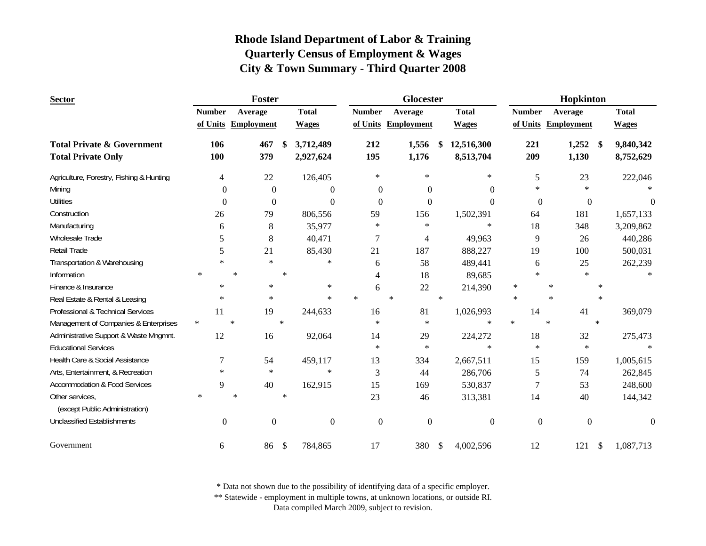| <b>Sector</b>                                     |                  | Foster            |        |                |               | <b>Glocester</b>    |        |                  |        |                  | Hopkinton           |                         |              |
|---------------------------------------------------|------------------|-------------------|--------|----------------|---------------|---------------------|--------|------------------|--------|------------------|---------------------|-------------------------|--------------|
|                                                   | <b>Number</b>    | Average           |        | <b>Total</b>   | <b>Number</b> | Average             |        | <b>Total</b>     |        | <b>Number</b>    | Average             |                         | <b>Total</b> |
|                                                   | of Units         | <b>Employment</b> |        | <b>Wages</b>   |               | of Units Employment |        | <b>Wages</b>     |        |                  | of Units Employment |                         | <b>Wages</b> |
| <b>Total Private &amp; Government</b>             | 106              | 467               | \$     | 3,712,489      | 212           | 1,556               | S.     | 12,516,300       |        | 221              | 1,252               | $\sqrt[6]{\frac{1}{2}}$ | 9,840,342    |
| <b>Total Private Only</b>                         | 100              | 379               |        | 2,927,624      | 195           | 1,176               |        | 8,513,704        |        | 209              | 1,130               |                         | 8,752,629    |
| Agriculture, Forestry, Fishing & Hunting          | 4                | 22                |        | 126,405        | $\ast$        | $\ast$              |        | $\ast$           |        | 5                | 23                  |                         | 222,046      |
| Mining                                            | $\Omega$         | $\Omega$          |        | $\Omega$       | $\theta$      | $\Omega$            |        | $\Omega$         |        | $\ast$           | $\ast$              |                         |              |
| <b>Utilities</b>                                  | $\Omega$         | $\theta$          |        | $\Omega$       | $\Omega$      | $\Omega$            |        | $\Omega$         |        | $\overline{0}$   | $\Omega$            |                         | 0            |
| Construction                                      | 26               | 79                |        | 806,556        | 59            | 156                 |        | 1,502,391        |        | 64               | 181                 |                         | 1,657,133    |
| Manufacturing                                     | 6                | 8                 |        | 35,977         | $\ast$        | $\ast$              |        | $\ast$           |        | 18               | 348                 |                         | 3,209,862    |
| Wholesale Trade                                   | 5                | 8                 |        | 40,471         | 7             | $\overline{4}$      |        | 49,963           |        | 9                | 26                  |                         | 440,286      |
| <b>Retail Trade</b>                               | 5                | 21                |        | 85,430         | 21            | 187                 |        | 888,227          |        | 19               | 100                 |                         | 500,031      |
| Transportation & Warehousing                      | $\star$          | $\star$           |        | $\ast$         | 6             | 58                  |        | 489,441          |        | 6                | 25                  |                         | 262,239      |
| Information                                       | $\ast$           | $\ast$            | $\ast$ |                | 4             | 18                  |        | 89,685           |        | $\ast$           | $\ast$              |                         |              |
| Finance & Insurance                               | $\ast$           | $\ast$            |        | $\star$        | 6             | 22                  |        | 214,390          | $\ast$ |                  | $\ast$              |                         |              |
| Real Estate & Rental & Leasing                    | $\ast$           | $\star$           |        | $\ast$         | $\ast$        | $\ast$              | $\ast$ |                  | $\ast$ |                  | $\ast$              | $\ast$                  |              |
| Professional & Technical Services                 | 11               | 19                |        | 244,633        | 16            | 81                  |        | 1,026,993        |        | 14               | 41                  |                         | 369,079      |
| Management of Companies & Enterprises             | $\ast$           | $\ast$            | $\ast$ |                | $\ast$        | $\ast$              |        | $\ast$           | $\ast$ |                  | $\ast$              | $\ast$                  |              |
| Administrative Support & Waste Mngmnt.            | 12               | 16                |        | 92,064         | 14            | 29                  |        | 224,272          |        | 18               | 32                  |                         | 275,473      |
| <b>Educational Services</b>                       |                  |                   |        |                | $\ast$        | $\ast$              |        | $\ast$           |        | $\ast$           | $\ast$              |                         |              |
| Health Care & Social Assistance                   | 7                | 54                |        | 459,117        | 13            | 334                 |        | 2,667,511        |        | 15               | 159                 |                         | 1,005,615    |
| Arts, Entertainment, & Recreation                 | $\ast$           | $\star$           |        | $\ast$         | 3             | 44                  |        | 286,706          |        | 5                | 74                  |                         | 262,845      |
| <b>Accommodation &amp; Food Services</b>          | 9                | 40                |        | 162,915        | 15            | 169                 |        | 530,837          |        | 7                | 53                  |                         | 248,600      |
| Other services,<br>(except Public Administration) | $\ast$           | $\ast$            | $\ast$ |                | 23            | 46                  |        | 313,381          |        | 14               | 40                  |                         | 144,342      |
| <b>Unclassified Establishments</b>                | $\boldsymbol{0}$ | $\mathbf{0}$      |        | $\overline{0}$ | $\mathbf{0}$  | $\mathbf{0}$        |        | $\boldsymbol{0}$ |        | $\boldsymbol{0}$ | $\boldsymbol{0}$    |                         | $\theta$     |
| Government                                        | 6                | 86                | \$     | 784,865        | 17            | 380                 | -S     | 4,002,596        |        | 12               | 121                 | \$                      | 1,087,713    |

\* Data not shown due to the possibility of identifying data of a specific employer.

\*\* Statewide - employment in multiple towns, at unknown locations, or outside RI.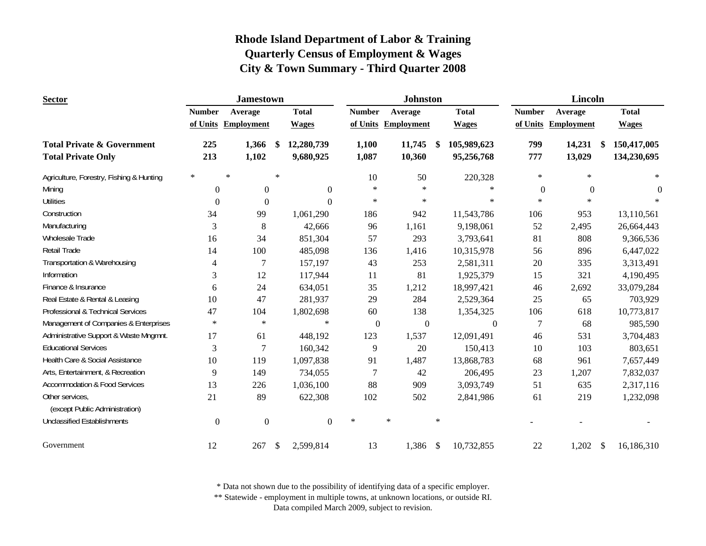| <b>Sector</b>                                                      |                  | <b>Jamestown</b>    |                           |                         |                |                  | <b>Johnston</b>     |        |                           |                | <b>Lincoln</b>          |                            |
|--------------------------------------------------------------------|------------------|---------------------|---------------------------|-------------------------|----------------|------------------|---------------------|--------|---------------------------|----------------|-------------------------|----------------------------|
|                                                                    | <b>Number</b>    | Average             |                           | <b>Total</b>            | <b>Number</b>  |                  | Average             |        | <b>Total</b>              | <b>Number</b>  | Average                 | <b>Total</b>               |
|                                                                    |                  | of Units Employment |                           | <b>Wages</b>            |                |                  | of Units Employment |        | <b>Wages</b>              |                | of Units Employment     | <b>Wages</b>               |
| <b>Total Private &amp; Government</b><br><b>Total Private Only</b> | 225<br>213       | 1,366<br>1,102      | - \$                      | 12,280,739<br>9,680,925 | 1,100<br>1,087 |                  | 11,745<br>10,360    | -\$    | 105,989,623<br>95,256,768 | 799<br>777     | 14,231<br>-\$<br>13,029 | 150,417,005<br>134,230,695 |
| Agriculture, Forestry, Fishing & Hunting                           | $\ast$           | $\ast$              | $\ast$                    |                         |                | 10               | 50                  |        | 220,328                   | $\ast$         | $\ast$                  | $\ast$                     |
| Mining                                                             | $\overline{0}$   | $\mathbf{0}$        |                           | $\mathbf{0}$            |                | $\ast$           | $\ast$              |        | $\ast$                    | $\overline{0}$ | $\theta$                | $\Omega$                   |
| <b>Utilities</b>                                                   | $\Omega$         | $\theta$            |                           | $\Omega$                |                | $\ast$           | $\ast$              |        | $\ast$                    | $\ast$         | $\ast$                  |                            |
| Construction                                                       | 34               | 99                  |                           | 1,061,290               |                | 186              | 942                 |        | 11,543,786                | 106            | 953                     | 13,110,561                 |
| Manufacturing                                                      | 3                | 8                   |                           | 42,666                  |                | 96               | 1,161               |        | 9,198,061                 | 52             | 2,495                   | 26,664,443                 |
| Wholesale Trade                                                    | 16               | 34                  |                           | 851,304                 |                | 57               | 293                 |        | 3,793,641                 | 81             | 808                     | 9,366,536                  |
| Retail Trade                                                       | 14               | 100                 |                           | 485,098                 |                | 136              | 1,416               |        | 10,315,978                | 56             | 896                     | 6,447,022                  |
| Transportation & Warehousing                                       | $\overline{4}$   | 7                   |                           | 157,197                 |                | 43               | 253                 |        | 2,581,311                 | 20             | 335                     | 3,313,491                  |
| Information                                                        | 3                | 12                  |                           | 117,944                 |                | 11               | 81                  |        | 1,925,379                 | 15             | 321                     | 4,190,495                  |
| Finance & Insurance                                                | 6                | 24                  |                           | 634,051                 |                | 35               | 1,212               |        | 18,997,421                | 46             | 2,692                   | 33,079,284                 |
| Real Estate & Rental & Leasing                                     | 10               | 47                  |                           | 281,937                 |                | 29               | 284                 |        | 2,529,364                 | 25             | 65                      | 703,929                    |
| Professional & Technical Services                                  | 47               | 104                 |                           | 1,802,698               |                | 60               | 138                 |        | 1,354,325                 | 106            | 618                     | 10,773,817                 |
| Management of Companies & Enterprises                              | $\ast$           | $\ast$              |                           | $\ast$                  |                | $\boldsymbol{0}$ | $\boldsymbol{0}$    |        | $\boldsymbol{0}$          | 7              | 68                      | 985,590                    |
| Administrative Support & Waste Mngmnt.                             | 17               | 61                  |                           | 448,192                 |                | 123              | 1,537               |        | 12,091,491                | 46             | 531                     | 3,704,483                  |
| <b>Educational Services</b>                                        | 3                | 7                   |                           | 160,342                 |                | 9                | 20                  |        | 150,413                   | 10             | 103                     | 803,651                    |
| Health Care & Social Assistance                                    | 10               | 119                 |                           | 1,097,838               |                | 91               | 1,487               |        | 13,868,783                | 68             | 961                     | 7,657,449                  |
| Arts, Entertainment, & Recreation                                  | 9                | 149                 |                           | 734,055                 |                | $\overline{7}$   | 42                  |        | 206,495                   | 23             | 1,207                   | 7,832,037                  |
| <b>Accommodation &amp; Food Services</b>                           | 13               | 226                 |                           | 1,036,100               |                | 88               | 909                 |        | 3,093,749                 | 51             | 635                     | 2,317,116                  |
| Other services,<br>(except Public Administration)                  | 21               | 89                  |                           | 622,308                 |                | 102              | 502                 |        | 2,841,986                 | 61             | 219                     | 1,232,098                  |
| <b>Unclassified Establishments</b>                                 | $\boldsymbol{0}$ | $\boldsymbol{0}$    |                           | $\boldsymbol{0}$        | $\ast$         |                  | $\ast$              | $\ast$ |                           |                |                         |                            |
| Government                                                         | 12               | 267                 | $\boldsymbol{\mathsf{S}}$ | 2,599,814               |                | 13               | 1,386               | \$     | 10,732,855                | 22             | 1,202<br>$\mathcal{S}$  | 16,186,310                 |

\* Data not shown due to the possibility of identifying data of a specific employer.

\*\* Statewide - employment in multiple towns, at unknown locations, or outside RI.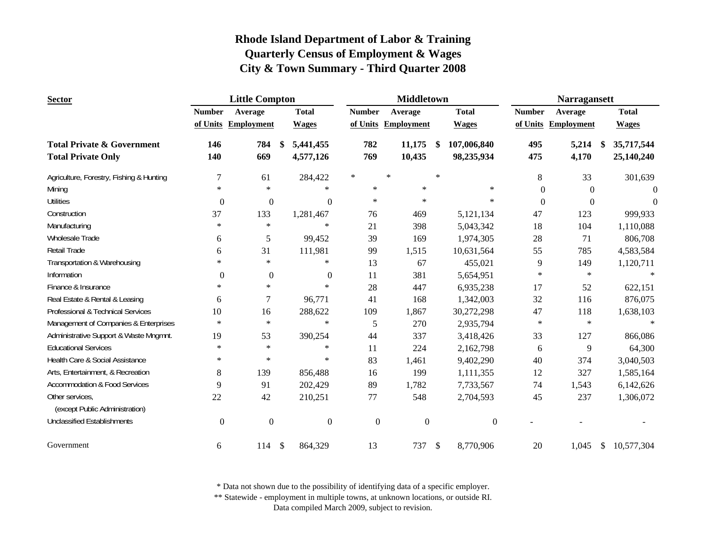| <b>Sector</b>                            |                | <b>Little Compton</b> |            |                  |                     |         | <b>Middletown</b> |               |                  |               | <b>Narragansett</b> |      |              |
|------------------------------------------|----------------|-----------------------|------------|------------------|---------------------|---------|-------------------|---------------|------------------|---------------|---------------------|------|--------------|
|                                          | <b>Number</b>  | Average               |            | <b>Total</b>     | <b>Number</b>       | Average |                   |               | <b>Total</b>     | <b>Number</b> | Average             |      | <b>Total</b> |
|                                          |                | of Units Employment   |            | <b>Wages</b>     | of Units Employment |         |                   |               | <b>Wages</b>     |               | of Units Employment |      | <b>Wages</b> |
| <b>Total Private &amp; Government</b>    | 146            | 784                   | -\$        | 5,441,455        | 782                 |         | 11,175            | -S            | 107,006,840      | 495           | 5,214               | - \$ | 35,717,544   |
| <b>Total Private Only</b>                | 140            | 669                   |            | 4,577,126        | 769                 |         | 10,435            |               | 98,235,934       | 475           | 4,170               |      | 25,140,240   |
| Agriculture, Forestry, Fishing & Hunting | 7              | 61                    |            | 284,422          | $\ast$              | $\ast$  |                   | $\star$       |                  | $8\,$         | 33                  |      | 301,639      |
| Mining                                   | $\ast$         | $\ast$                |            | $\ast$           | $\ast$              |         | $\ast$            |               | $\ast$           | $\Omega$      | $\Omega$            |      | $\Omega$     |
| <b>Utilities</b>                         | $\overline{0}$ | $\mathbf{0}$          |            | $\overline{0}$   | $\ast$              |         | $\ast$            |               | $\ast$           | $\mathbf{0}$  | $\Omega$            |      | $\Omega$     |
| Construction                             | 37             | 133                   |            | 1,281,467        | 76                  |         | 469               |               | 5,121,134        | 47            | 123                 |      | 999,933      |
| Manufacturing                            | $\ast$         | $\ast$                |            | $\ast$           | 21                  |         | 398               |               | 5,043,342        | 18            | 104                 |      | 1,110,088    |
| Wholesale Trade                          | 6              | 5                     |            | 99,452           | 39                  |         | 169               |               | 1,974,305        | 28            | 71                  |      | 806,708      |
| <b>Retail Trade</b>                      | 6              | 31                    |            | 111,981          | 99                  |         | 1,515             |               | 10,631,564       | 55            | 785                 |      | 4,583,584    |
| Transportation & Warehousing             | $\ast$         | $\ast$                |            | $\ast$           | 13                  |         | 67                |               | 455,021          | 9             | 149                 |      | 1,120,711    |
| Information                              | $\theta$       | $\overline{0}$        |            | $\theta$         | 11                  |         | 381               |               | 5,654,951        | $\ast$        | $\ast$              |      | $\ast$       |
| Finance & Insurance                      | $\ast$         | $\ast$                |            | $\ast$           | 28                  |         | 447               |               | 6,935,238        | 17            | 52                  |      | 622,151      |
| Real Estate & Rental & Leasing           | 6              | 7                     |            | 96,771           | 41                  |         | 168               |               | 1,342,003        | 32            | 116                 |      | 876,075      |
| Professional & Technical Services        | 10             | 16                    |            | 288,622          | 109                 |         | 1,867             |               | 30,272,298       | 47            | 118                 |      | 1,638,103    |
| Management of Companies & Enterprises    | $\ast$         | $\ast$                |            | $\ast$           | 5                   |         | 270               |               | 2,935,794        | $\ast$        | $\ast$              |      | $\ast$       |
| Administrative Support & Waste Mngmnt.   | 19             | 53                    |            | 390,254          | 44                  |         | 337               |               | 3,418,426        | 33            | 127                 |      | 866,086      |
| <b>Educational Services</b>              | $\ast$         | $\ast$                |            | $\ast$           | 11                  |         | 224               |               | 2,162,798        | 6             | 9                   |      | 64,300       |
| Health Care & Social Assistance          | $\ast$         | $\ast$                |            | $\ast$           | 83                  |         | 1,461             |               | 9,402,290        | 40            | 374                 |      | 3,040,503    |
| Arts, Entertainment, & Recreation        | 8              | 139                   |            | 856,488          | 16                  |         | 199               |               | 1,111,355        | 12            | 327                 |      | 1,585,164    |
| <b>Accommodation &amp; Food Services</b> | 9              | 91                    |            | 202,429          | 89                  |         | 1,782             |               | 7,733,567        | 74            | 1,543               |      | 6,142,626    |
| Other services,                          | 22             | 42                    |            | 210,251          | 77                  |         | 548               |               | 2,704,593        | 45            | 237                 |      | 1,306,072    |
| (except Public Administration)           |                |                       |            |                  |                     |         |                   |               |                  |               |                     |      |              |
| <b>Unclassified Establishments</b>       | $\mathbf{0}$   | $\mathbf{0}$          |            | $\boldsymbol{0}$ | $\boldsymbol{0}$    |         | $\boldsymbol{0}$  |               | $\boldsymbol{0}$ |               |                     |      |              |
| Government                               | 6              | 114                   | $\sqrt{3}$ | 864,329          | 13                  |         | 737               | $\mathcal{S}$ | 8,770,906        | 20            | 1,045               | \$   | 10,577,304   |

\* Data not shown due to the possibility of identifying data of a specific employer.

\*\* Statewide - employment in multiple towns, at unknown locations, or outside RI.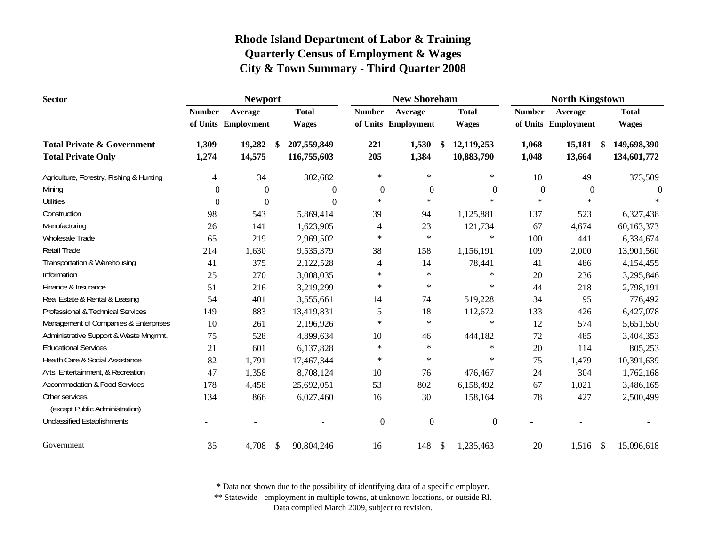| <b>Sector</b>                                                      |                | <b>Newport</b>      |                                  |                |               | <b>New Shoreham</b> |               |                          |                | <b>North Kingstown</b> |    |                            |
|--------------------------------------------------------------------|----------------|---------------------|----------------------------------|----------------|---------------|---------------------|---------------|--------------------------|----------------|------------------------|----|----------------------------|
|                                                                    | <b>Number</b>  | Average             | <b>Total</b>                     |                | <b>Number</b> | Average             |               | <b>Total</b>             | <b>Number</b>  | Average                |    | <b>Total</b>               |
|                                                                    |                | of Units Employment | <b>Wages</b>                     |                |               | of Units Employment |               | <b>Wages</b>             |                | of Units Employment    |    | <b>Wages</b>               |
| <b>Total Private &amp; Government</b><br><b>Total Private Only</b> | 1,309<br>1,274 | 19,282<br>14,575    | 207,559,849<br>-S<br>116,755,603 |                | 221<br>205    | 1,530<br>1,384      | \$            | 12,119,253<br>10,883,790 | 1,068<br>1,048 | 15,181<br>13,664       | S. | 149,698,390<br>134,601,772 |
| Agriculture, Forestry, Fishing & Hunting                           | 4              | 34                  |                                  | 302,682        | $\ast$        | $\ast$              |               | $\ast$                   | 10             | 49                     |    | 373,509                    |
| Mining                                                             | $\overline{0}$ | $\overline{0}$      |                                  | $\overline{0}$ | $\theta$      | $\mathbf{0}$        |               | $\boldsymbol{0}$         | $\mathbf{0}$   | $\boldsymbol{0}$       |    | $\Omega$                   |
| <b>Utilities</b>                                                   | $\theta$       | $\theta$            |                                  | $\Omega$       | $\ast$        | $\star$             |               | $\ast$                   | $\ast$         | $\ast$                 |    |                            |
| Construction                                                       | 98             | 543                 |                                  | 5,869,414      | 39            | 94                  |               | 1,125,881                | 137            | 523                    |    | 6,327,438                  |
| Manufacturing                                                      | 26             | 141                 |                                  | 1,623,905      | 4             | 23                  |               | 121,734                  | 67             | 4,674                  |    | 60,163,373                 |
| Wholesale Trade                                                    | 65             | 219                 |                                  | 2,969,502      | $\ast$        | $\ast$              |               | $\ast$                   | 100            | 441                    |    | 6,334,674                  |
| Retail Trade                                                       | 214            | 1,630               |                                  | 9,535,379      | 38            | 158                 |               | 1,156,191                | 109            | 2,000                  |    | 13,901,560                 |
| Transportation & Warehousing                                       | 41             | 375                 |                                  | 2,122,528      | 4             | 14                  |               | 78,441                   | 41             | 486                    |    | 4,154,455                  |
| Information                                                        | 25             | 270                 |                                  | 3,008,035      | $\ast$        | $\ast$              |               | $\ast$                   | 20             | 236                    |    | 3,295,846                  |
| Finance & Insurance                                                | 51             | 216                 |                                  | 3,219,299      | $\ast$        | $\ast$              |               | $\ast$                   | 44             | 218                    |    | 2,798,191                  |
| Real Estate & Rental & Leasing                                     | 54             | 401                 |                                  | 3,555,661      | 14            | 74                  |               | 519,228                  | 34             | 95                     |    | 776,492                    |
| Professional & Technical Services                                  | 149            | 883                 |                                  | 13,419,831     | 5             | 18                  |               | 112,672                  | 133            | 426                    |    | 6,427,078                  |
| Management of Companies & Enterprises                              | 10             | 261                 |                                  | 2,196,926      | $\ast$        | $\ast$              |               | $\ast$                   | 12             | 574                    |    | 5,651,550                  |
| Administrative Support & Waste Mngmnt.                             | 75             | 528                 |                                  | 4,899,634      | 10            | 46                  |               | 444,182                  | 72             | 485                    |    | 3,404,353                  |
| <b>Educational Services</b>                                        | 21             | 601                 |                                  | 6,137,828      | $\ast$        | $\ast$              |               | $\ast$                   | 20             | 114                    |    | 805,253                    |
| Health Care & Social Assistance                                    | 82             | 1,791               |                                  | 17,467,344     | $\ast$        | $\ast$              |               | $\ast$                   | 75             | 1,479                  |    | 10,391,639                 |
| Arts, Entertainment, & Recreation                                  | 47             | 1,358               |                                  | 8,708,124      | 10            | 76                  |               | 476,467                  | 24             | 304                    |    | 1,762,168                  |
| <b>Accommodation &amp; Food Services</b>                           | 178            | 4,458               |                                  | 25,692,051     | 53            | 802                 |               | 6,158,492                | 67             | 1,021                  |    | 3,486,165                  |
| Other services,<br>(except Public Administration)                  | 134            | 866                 |                                  | 6,027,460      | 16            | 30                  |               | 158,164                  | 78             | 427                    |    | 2,500,499                  |
| <b>Unclassified Establishments</b>                                 |                |                     |                                  |                | $\mathbf{0}$  | $\mathbf{0}$        |               | $\boldsymbol{0}$         |                |                        |    |                            |
| Government                                                         | 35             | 4,708               | \$                               | 90,804,246     | 16            | 148                 | $\mathcal{S}$ | 1,235,463                | 20             | $1,516$ \$             |    | 15,096,618                 |

\* Data not shown due to the possibility of identifying data of a specific employer.

\*\* Statewide - employment in multiple towns, at unknown locations, or outside RI.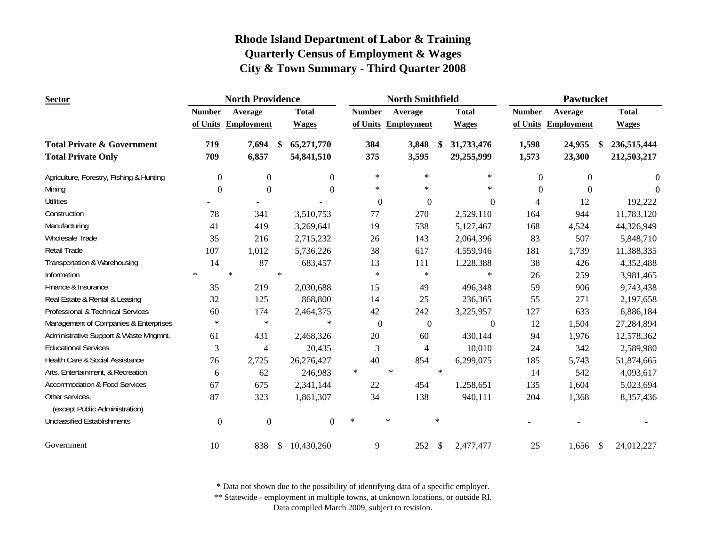| <b>Sector</b>                                     |                  | <b>North Providence</b> |        |              |        |                | <b>North Smithfield</b> |        |                  |                | Pawtucket         |              |
|---------------------------------------------------|------------------|-------------------------|--------|--------------|--------|----------------|-------------------------|--------|------------------|----------------|-------------------|--------------|
|                                                   | <b>Number</b>    | Average                 |        | <b>Total</b> |        | <b>Number</b>  | Average                 |        | <b>Total</b>     | <b>Number</b>  | Average           | <b>Total</b> |
|                                                   |                  | of Units Employment     |        | <b>Wages</b> |        |                | of Units Employment     |        | <b>Wages</b>     | of Units       | <b>Employment</b> | <b>Wages</b> |
| <b>Total Private &amp; Government</b>             | 719              | 7,694                   | -S     | 65,271,770   |        | 384            | 3,848                   | \$     | 31,733,476       | 1,598          | 24,955<br>S.      | 236,515,444  |
| <b>Total Private Only</b>                         | 709              | 6,857                   |        | 54,841,510   |        | 375            | 3,595                   |        | 29,255,999       | 1,573          | 23,300            | 212,503,217  |
| Agriculture, Forestry, Fishing & Hunting          | $\overline{0}$   | $\boldsymbol{0}$        |        | $\Omega$     |        | $\ast$         | $\ast$                  |        | $\ast$           | $\overline{0}$ | $\boldsymbol{0}$  | $\Omega$     |
| Mining                                            | $\Omega$         | $\Omega$                |        | $\Omega$     |        | $\ast$         | $\ast$                  |        | $\ast$           | $\Omega$       | $\theta$          | $\Omega$     |
| <b>Utilities</b>                                  |                  |                         |        |              |        | $\overline{0}$ | $\mathbf{0}$            |        | $\theta$         | $\overline{4}$ | 12                | 192,222      |
| Construction                                      | 78               | 341                     |        | 3,510,753    |        | 77             | 270                     |        | 2,529,110        | 164            | 944               | 11,783,120   |
| Manufacturing                                     | 41               | 419                     |        | 3,269,641    |        | 19             | 538                     |        | 5,127,467        | 168            | 4,524             | 44,326,949   |
| Wholesale Trade                                   | 35               | 216                     |        | 2,715,232    |        | 26             | 143                     |        | 2,064,396        | 83             | 507               | 5,848,710    |
| Retail Trade                                      | 107              | 1,012                   |        | 5,736,226    |        | 38             | 617                     |        | 4,559,946        | 181            | 1,739             | 11,388,335   |
| Transportation & Warehousing                      | 14               | 87                      |        | 683,457      |        | 13             | 111                     |        | 1,228,388        | 38             | 426               | 4,352,488    |
| Information                                       | $\star$          | $\ast$                  | $\ast$ |              |        | $\ast$         | $\ast$                  |        | $\ast$           | 26             | 259               | 3,981,465    |
| Finance & Insurance                               | 35               | 219                     |        | 2,030,688    |        | 15             | 49                      |        | 496,348          | 59             | 906               | 9,743,438    |
| Real Estate & Rental & Leasing                    | 32               | 125                     |        | 868,800      |        | 14             | 25                      |        | 236,365          | 55             | 271               | 2,197,658    |
| Professional & Technical Services                 | 60               | 174                     |        | 2,464,375    |        | 42             | 242                     |        | 3,225,957        | 127            | 633               | 6,886,184    |
| Management of Companies & Enterprises             | $\ast$           | $\ast$                  |        | $\ast$       |        | $\mathbf{0}$   | $\boldsymbol{0}$        |        | $\boldsymbol{0}$ | 12             | 1,504             | 27,284,894   |
| Administrative Support & Waste Mngmnt.            | 61               | 431                     |        | 2,468,326    |        | 20             | 60                      |        | 430,144          | 94             | 1,976             | 12,578,362   |
| <b>Educational Services</b>                       | 3                | 4                       |        | 20,435       |        | 3              | 4                       |        | 10,010           | 24             | 342               | 2,589,980    |
| Health Care & Social Assistance                   | 76               | 2,725                   |        | 26,276,427   |        | 40             | 854                     |        | 6,299,075        | 185            | 5,743             | 51,874,665   |
| Arts, Entertainment, & Recreation                 | 6                | 62                      |        | 246,983      | $\ast$ |                | $\ast$                  | $\ast$ |                  | 14             | 542               | 4,093,617    |
| <b>Accommodation &amp; Food Services</b>          | 67               | 675                     |        | 2,341,144    |        | 22             | 454                     |        | 1,258,651        | 135            | 1,604             | 5,023,694    |
| Other services,<br>(except Public Administration) | 87               | 323                     |        | 1,861,307    |        | 34             | 138                     |        | 940,111          | 204            | 1,368             | 8,357,436    |
| <b>Unclassified Establishments</b>                | $\boldsymbol{0}$ | $\boldsymbol{0}$        |        | $\Omega$     | $\ast$ |                | $\ast$                  | $\ast$ |                  |                |                   |              |
| Government                                        | 10               | 838                     | \$     | 10,430,260   |        | 9              | 252                     | \$     | 2,477,477        | 25             | 1,656<br>\$       | 24,012,227   |

\* Data not shown due to the possibility of identifying data of a specific employer.

\*\* Statewide - employment in multiple towns, at unknown locations, or outside RI.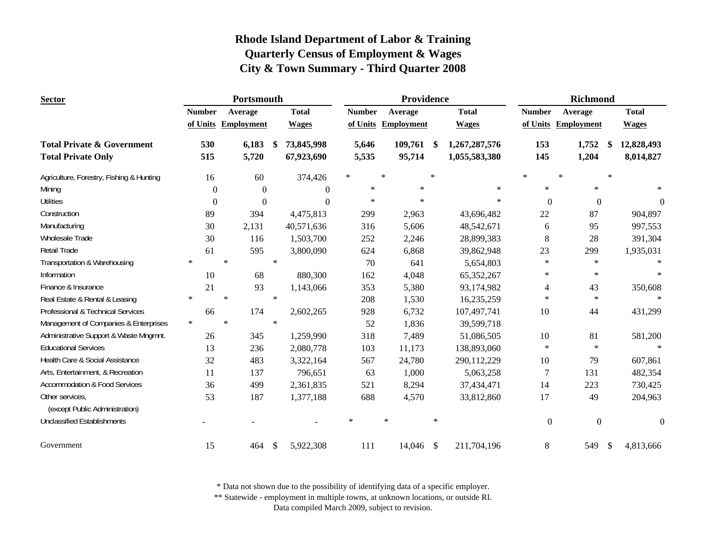| <b>Sector</b>                                     |               |        | Portsmouth          |        |                |               |        | Providence        |        |               |               | <b>Richmond</b>     |        |                  |
|---------------------------------------------------|---------------|--------|---------------------|--------|----------------|---------------|--------|-------------------|--------|---------------|---------------|---------------------|--------|------------------|
|                                                   | <b>Number</b> |        | Average             |        | <b>Total</b>   | <b>Number</b> |        | Average           |        | <b>Total</b>  | <b>Number</b> | Average             |        | <b>Total</b>     |
|                                                   |               |        | of Units Employment |        | <b>Wages</b>   | of Units      |        | <b>Employment</b> |        | <b>Wages</b>  |               | of Units Employment |        | <b>Wages</b>     |
| <b>Total Private &amp; Government</b>             | 530           |        | 6,183               | \$     | 73,845,998     | 5,646         |        | 109,761           | S      | 1,267,287,576 | 153           | 1,752               |        | 12,828,493       |
| <b>Total Private Only</b>                         | 515           |        | 5,720               |        | 67,923,690     | 5,535         |        | 95,714            |        | 1,055,583,380 | 145           | 1,204               |        | 8,014,827        |
| Agriculture, Forestry, Fishing & Hunting          | 16            |        | 60                  |        | 374,426        | $\ast$        | $\ast$ |                   | $\ast$ |               | $\star$       | $\ast$              | $\ast$ |                  |
| Mining                                            | $\Omega$      |        | $\Omega$            |        | $\overline{0}$ | $\ast$        |        | $\ast$            |        | $\ast$        | $\ast$        | $\ast$              |        |                  |
| <b>Utilities</b>                                  | $\Omega$      |        | $\Omega$            |        | $\theta$       | $\ast$        |        | $\ast$            |        | $\ast$        | $\Omega$      | $\theta$            |        | $\theta$         |
| Construction                                      | 89            |        | 394                 |        | 4,475,813      | 299           |        | 2,963             |        | 43,696,482    | 22            | 87                  |        | 904,897          |
| Manufacturing                                     | 30            |        | 2,131               |        | 40,571,636     | 316           |        | 5,606             |        | 48,542,671    | 6             | 95                  |        | 997,553          |
| <b>Wholesale Trade</b>                            | 30            |        | 116                 |        | 1,503,700      | 252           |        | 2,246             |        | 28,899,383    | $8\,$         | 28                  |        | 391,304          |
| <b>Retail Trade</b>                               | 61            |        | 595                 |        | 3,800,090      | 624           |        | 6,868             |        | 39,862,948    | 23            | 299                 |        | 1,935,031        |
| Transportation & Warehousing                      | $\ast$        | $\ast$ |                     | $\ast$ |                | 70            |        | 641               |        | 5,654,803     | $\ast$        | $\ast$              |        | $\ast$           |
| Information                                       | 10            |        | 68                  |        | 880,300        | 162           |        | 4,048             |        | 65,352,267    | $\ast$        | $\ast$              |        | $\ast$           |
| Finance & Insurance                               | 21            |        | 93                  |        | 1,143,066      | 353           |        | 5,380             |        | 93,174,982    | 4             | 43                  |        | 350,608          |
| Real Estate & Rental & Leasing                    | $\ast$        | $\ast$ |                     | $\ast$ |                | 208           |        | 1,530             |        | 16,235,259    | $\ast$        | $\ast$              |        | $\ast$           |
| <b>Professional &amp; Technical Services</b>      | 66            |        | 174                 |        | 2,602,265      | 928           |        | 6,732             |        | 107,497,741   | 10            | 44                  |        | 431,299          |
| Management of Companies & Enterprises             | $\ast$        | $\ast$ |                     | $\ast$ |                | 52            |        | 1,836             |        | 39,599,718    |               |                     |        |                  |
| Administrative Support & Waste Mngmnt.            | 26            |        | 345                 |        | 1,259,990      | 318           |        | 7,489             |        | 51,086,505    | $10\,$        | 81                  |        | 581,200          |
| <b>Educational Services</b>                       | 13            |        | 236                 |        | 2,080,778      | 103           |        | 11,173            |        | 138,893,060   | $\ast$        | $\ast$              |        |                  |
| Health Care & Social Assistance                   | 32            |        | 483                 |        | 3,322,164      | 567           |        | 24,780            |        | 290,112,229   | 10            | 79                  |        | 607,861          |
| Arts, Entertainment, & Recreation                 | 11            |        | 137                 |        | 796,651        | 63            |        | 1,000             |        | 5,063,258     | 7             | 131                 |        | 482,354          |
| <b>Accommodation &amp; Food Services</b>          | 36            |        | 499                 |        | 2,361,835      | 521           |        | 8,294             |        | 37,434,471    | 14            | 223                 |        | 730,425          |
| Other services,<br>(except Public Administration) | 53            |        | 187                 |        | 1,377,188      | 688           |        | 4,570             |        | 33,812,860    | 17            | 49                  |        | 204,963          |
| <b>Unclassified Establishments</b>                |               |        |                     |        |                | $\ast$        | $\ast$ |                   | $\ast$ |               | $\mathbf{0}$  | $\boldsymbol{0}$    |        | $\boldsymbol{0}$ |
| Government                                        | 15            |        | 464                 | -S     | 5,922,308      | 111           |        | 14,046 \$         |        | 211,704,196   | $8\,$         | 549                 | \$     | 4,813,666        |

\* Data not shown due to the possibility of identifying data of a specific employer.

\*\* Statewide - employment in multiple towns, at unknown locations, or outside RI.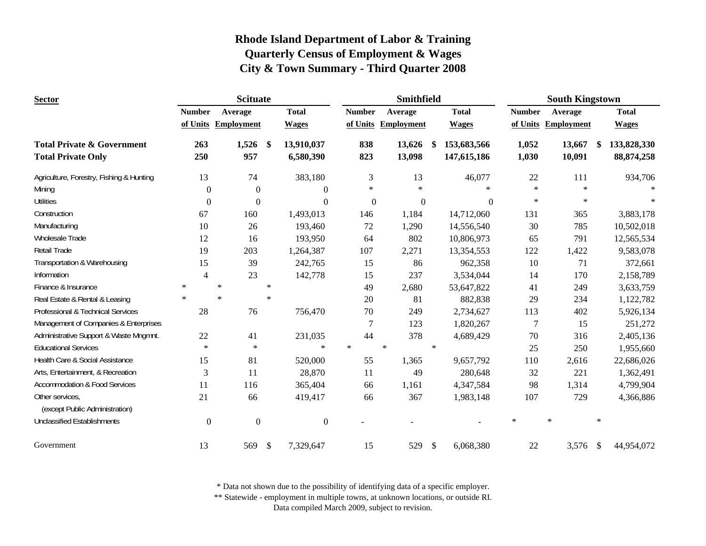| <b>Sector</b>                                                      |                | <b>Scituate</b>     |               |                         |                  | Smithfield        |               |                            |                | <b>South Kingstown</b> |        |                             |
|--------------------------------------------------------------------|----------------|---------------------|---------------|-------------------------|------------------|-------------------|---------------|----------------------------|----------------|------------------------|--------|-----------------------------|
|                                                                    | <b>Number</b>  | Average             |               | <b>Total</b>            | <b>Number</b>    | Average           |               | <b>Total</b>               | <b>Number</b>  | Average                |        | <b>Total</b>                |
|                                                                    |                | of Units Employment |               | <b>Wages</b>            | of Units         | <b>Employment</b> |               | <b>Wages</b>               |                | of Units Employment    |        | <b>Wages</b>                |
| <b>Total Private &amp; Government</b><br><b>Total Private Only</b> | 263<br>250     | 1,526<br>957        | <sup>\$</sup> | 13,910,037<br>6,580,390 | 838<br>823       | 13,626<br>13,098  | - \$          | 153,683,566<br>147,615,186 | 1,052<br>1,030 | 13,667<br>10,091       | \$     | 133,828,330<br>88, 874, 258 |
| Agriculture, Forestry, Fishing & Hunting                           | 13             | 74                  |               | 383,180                 | 3                | 13                |               | 46,077                     | 22             | 111                    |        | 934,706                     |
| Mining                                                             | $\overline{0}$ | $\mathbf{0}$        |               | $\mathbf{0}$            | $\ast$           | $\ast$            |               | $\ast$                     | $\ast$         | $\ast$                 |        |                             |
| <b>Utilities</b>                                                   | $\theta$       | $\Omega$            |               | $\Omega$                | $\boldsymbol{0}$ | $\boldsymbol{0}$  |               | $\Omega$                   | $\ast$         | $\star$                |        |                             |
| Construction                                                       | 67             | 160                 |               | 1,493,013               | 146              | 1,184             |               | 14,712,060                 | 131            | 365                    |        | 3,883,178                   |
| Manufacturing                                                      | 10             | 26                  |               | 193,460                 | 72               | 1,290             |               | 14,556,540                 | 30             | 785                    |        | 10,502,018                  |
| <b>Wholesale Trade</b>                                             | 12             | 16                  |               | 193,950                 | 64               | 802               |               | 10,806,973                 | 65             | 791                    |        | 12,565,534                  |
| Retail Trade                                                       | 19             | 203                 |               | 1,264,387               | 107              | 2,271             |               | 13,354,553                 | 122            | 1,422                  |        | 9,583,078                   |
| Transportation & Warehousing                                       | 15             | 39                  |               | 242,765                 | 15               | 86                |               | 962,358                    | 10             | 71                     |        | 372,661                     |
| Information                                                        | $\overline{4}$ | 23                  |               | 142,778                 | 15               | 237               |               | 3,534,044                  | 14             | 170                    |        | 2,158,789                   |
| Finance & Insurance                                                | $\ast$         | $\ast$              | $\ast$        |                         | 49               | 2,680             |               | 53,647,822                 | 41             | 249                    |        | 3,633,759                   |
| Real Estate & Rental & Leasing                                     | $\ast$         | $\ast$              | $\ast$        |                         | 20               | 81                |               | 882,838                    | 29             | 234                    |        | 1,122,782                   |
| Professional & Technical Services                                  | 28             | 76                  |               | 756,470                 | $70\,$           | 249               |               | 2,734,627                  | 113            | 402                    |        | 5,926,134                   |
| Management of Companies & Enterprises                              |                |                     |               |                         | $\overline{7}$   | 123               |               | 1,820,267                  | 7              | 15                     |        | 251,272                     |
| Administrative Support & Waste Mngmnt.                             | 22             | 41                  |               | 231,035                 | 44               | 378               |               | 4,689,429                  | 70             | 316                    |        | 2,405,136                   |
| <b>Educational Services</b>                                        | $\ast$         | $\ast$              |               | $\ast$                  | $\ast$           | $\ast$            | $\ast$        |                            | 25             | 250                    |        | 1,955,660                   |
| Health Care & Social Assistance                                    | 15             | 81                  |               | 520,000                 | 55               | 1,365             |               | 9,657,792                  | 110            | 2,616                  |        | 22,686,026                  |
| Arts, Entertainment, & Recreation                                  | 3              | 11                  |               | 28,870                  | 11               | 49                |               | 280,648                    | 32             | 221                    |        | 1,362,491                   |
| <b>Accommodation &amp; Food Services</b>                           | 11             | 116                 |               | 365,404                 | 66               | 1,161             |               | 4,347,584                  | 98             | 1,314                  |        | 4,799,904                   |
| Other services,<br>(except Public Administration)                  | 21             | 66                  |               | 419,417                 | 66               | 367               |               | 1,983,148                  | 107            | 729                    |        | 4,366,886                   |
| <b>Unclassified Establishments</b>                                 | $\overline{0}$ | $\mathbf{0}$        |               | $\mathbf{0}$            |                  |                   |               |                            | $\ast$         | $\ast$                 | $\ast$ |                             |
| Government                                                         | 13             | 569                 | $\mathcal{S}$ | 7,329,647               | 15               | 529               | $\mathcal{S}$ | 6,068,380                  | 22             | 3,576                  | \$     | 44,954,072                  |

\* Data not shown due to the possibility of identifying data of a specific employer.

\*\* Statewide - employment in multiple towns, at unknown locations, or outside RI.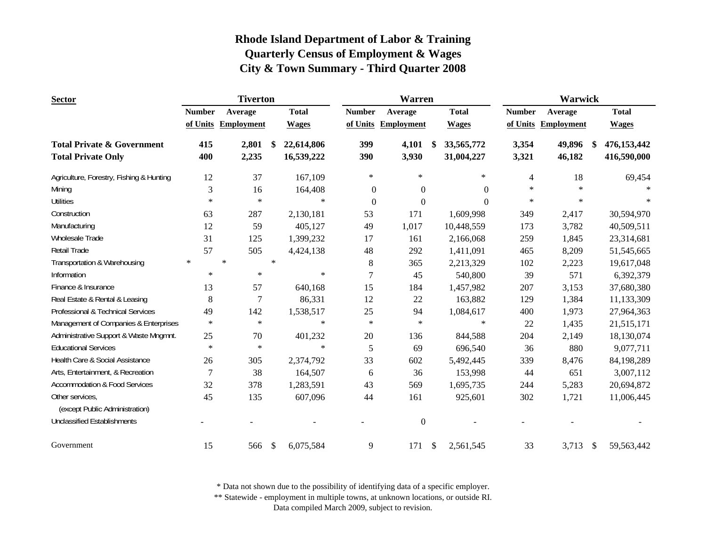| <b>Sector</b>                            | <b>Tiverton</b> |                     |               |              |                | <b>Warren</b>       |                  |               | Warwick                 |              |
|------------------------------------------|-----------------|---------------------|---------------|--------------|----------------|---------------------|------------------|---------------|-------------------------|--------------|
|                                          | <b>Number</b>   | Average             |               | <b>Total</b> | <b>Number</b>  | Average             | <b>Total</b>     | <b>Number</b> | Average                 | <b>Total</b> |
|                                          |                 | of Units Employment |               | <b>Wages</b> |                | of Units Employment | <b>Wages</b>     |               | of Units Employment     | <b>Wages</b> |
| <b>Total Private &amp; Government</b>    | 415             | 2,801               | \$            | 22,614,806   | 399            | 4,101               | \$<br>33,565,772 | 3,354         | 49,896<br><sup>\$</sup> | 476,153,442  |
| <b>Total Private Only</b>                | 400             | 2,235               |               | 16,539,222   | 390            | 3,930               | 31,004,227       | 3,321         | 46,182                  | 416,590,000  |
| Agriculture, Forestry, Fishing & Hunting | 12              | 37                  |               | 167,109      | $\ast$         | $\ast$              | $\ast$           | 4             | 18                      | 69,454       |
| Mining                                   | 3               | 16                  |               | 164,408      | $\overline{0}$ | $\boldsymbol{0}$    | $\theta$         | $\star$       | $\ast$                  |              |
| <b>Utilities</b>                         | $\ast$          | $\ast$              |               | $\ast$       | $\theta$       | $\boldsymbol{0}$    | $\theta$         | $\ast$        | $\ast$                  |              |
| Construction                             | 63              | 287                 |               | 2,130,181    | 53             | 171                 | 1,609,998        | 349           | 2,417                   | 30,594,970   |
| Manufacturing                            | 12              | 59                  |               | 405,127      | 49             | 1,017               | 10,448,559       | 173           | 3,782                   | 40,509,511   |
| <b>Wholesale Trade</b>                   | 31              | 125                 |               | 1,399,232    | 17             | 161                 | 2,166,068        | 259           | 1,845                   | 23,314,681   |
| <b>Retail Trade</b>                      | 57              | 505                 |               | 4,424,138    | 48             | 292                 | 1,411,091        | 465           | 8,209                   | 51,545,665   |
| Transportation & Warehousing             | $\ast$          | $\ast$              | $\star$       |              | 8              | 365                 | 2,213,329        | 102           | 2,223                   | 19,617,048   |
| Information                              | $\ast$          | $\ast$              |               | $\ast$       | 7              | 45                  | 540,800          | 39            | 571                     | 6,392,379    |
| Finance & Insurance                      | 13              | 57                  |               | 640,168      | 15             | 184                 | 1,457,982        | 207           | 3,153                   | 37,680,380   |
| Real Estate & Rental & Leasing           | 8               | 7                   |               | 86,331       | 12             | 22                  | 163,882          | 129           | 1,384                   | 11,133,309   |
| Professional & Technical Services        | 49              | 142                 |               | 1,538,517    | 25             | 94                  | 1,084,617        | 400           | 1,973                   | 27,964,363   |
| Management of Companies & Enterprises    | $\ast$          | $\ast$              |               | $\ast$       | $\ast$         | $\ast$              | $\ast$           | 22            | 1,435                   | 21,515,171   |
| Administrative Support & Waste Mngmnt.   | 25              | 70                  |               | 401,232      | 20             | 136                 | 844,588          | 204           | 2,149                   | 18,130,074   |
| <b>Educational Services</b>              | $\ast$          | $\ast$              |               | $\ast$       | 5              | 69                  | 696,540          | 36            | 880                     | 9,077,711    |
| Health Care & Social Assistance          | 26              | 305                 |               | 2,374,792    | 33             | 602                 | 5,492,445        | 339           | 8,476                   | 84,198,289   |
| Arts, Entertainment, & Recreation        | 7               | 38                  |               | 164,507      | 6              | 36                  | 153,998          | 44            | 651                     | 3,007,112    |
| Accommodation & Food Services            | 32              | 378                 |               | 1,283,591    | 43             | 569                 | 1,695,735        | 244           | 5,283                   | 20,694,872   |
| Other services,                          | 45              | 135                 |               | 607,096      | 44             | 161                 | 925,601          | 302           | 1,721                   | 11,006,445   |
| (except Public Administration)           |                 |                     |               |              |                |                     |                  |               |                         |              |
| <b>Unclassified Establishments</b>       |                 |                     |               |              |                | $\boldsymbol{0}$    |                  |               |                         |              |
| Government                               | 15              | 566                 | $\mathcal{S}$ | 6,075,584    | 9              | 171                 | \$<br>2,561,545  | 33            | 3,713<br>$\mathcal{S}$  | 59,563,442   |

\* Data not shown due to the possibility of identifying data of a specific employer.

\*\* Statewide - employment in multiple towns, at unknown locations, or outside RI.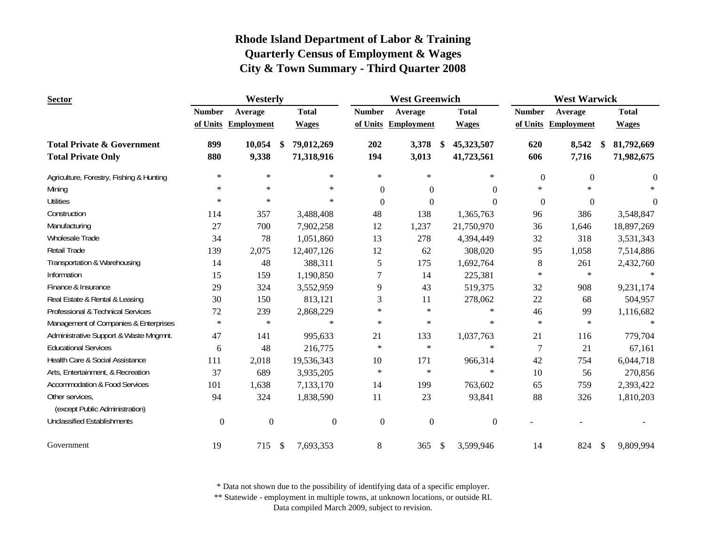| <b>Sector</b>                            | <b>West Greenwich</b><br>Westerly |                     |      |                  |                  |                     | <b>West Warwick</b> |                  |                  |                     |    |              |
|------------------------------------------|-----------------------------------|---------------------|------|------------------|------------------|---------------------|---------------------|------------------|------------------|---------------------|----|--------------|
|                                          | <b>Number</b>                     | Average             |      | <b>Total</b>     | <b>Number</b>    | Average             |                     | <b>Total</b>     | <b>Number</b>    | Average             |    | <b>Total</b> |
|                                          |                                   | of Units Employment |      | <b>Wages</b>     |                  | of Units Employment |                     | <b>Wages</b>     |                  | of Units Employment |    | <b>Wages</b> |
| <b>Total Private &amp; Government</b>    | 899                               | 10,054              | - \$ | 79,012,269       | 202              | 3,378               | -S                  | 45,323,507       | 620              | 8,542               | -8 | 81,792,669   |
| <b>Total Private Only</b>                | 880                               | 9,338               |      | 71,318,916       | 194              | 3,013               |                     | 41,723,561       | 606              | 7,716               |    | 71,982,675   |
| Agriculture, Forestry, Fishing & Hunting | $\ast$                            | $\ast$              |      | $\ast$           | $\ast$           | $\ast$              |                     | $\ast$           | $\boldsymbol{0}$ | $\Omega$            |    | $\Omega$     |
| Mining                                   | $\ast$                            | $\star$             |      | $\ast$           | $\Omega$         | $\Omega$            |                     | $\Omega$         | $\ast$           | $\ast$              |    |              |
| <b>Utilities</b>                         | $\ast$                            | $\ast$              |      | $\ast$           | $\theta$         | $\Omega$            |                     | $\theta$         | $\mathbf{0}$     | $\mathbf{0}$        |    | $\Omega$     |
| Construction                             | 114                               | 357                 |      | 3,488,408        | 48               | 138                 |                     | 1,365,763        | 96               | 386                 |    | 3,548,847    |
| Manufacturing                            | 27                                | 700                 |      | 7,902,258        | 12               | 1,237               |                     | 21,750,970       | 36               | 1,646               |    | 18,897,269   |
| Wholesale Trade                          | 34                                | 78                  |      | 1,051,860        | 13               | 278                 |                     | 4,394,449        | 32               | 318                 |    | 3,531,343    |
| Retail Trade                             | 139                               | 2,075               |      | 12,407,126       | 12               | 62                  |                     | 308,020          | 95               | 1,058               |    | 7,514,886    |
| Transportation & Warehousing             | 14                                | 48                  |      | 388,311          | 5                | 175                 |                     | 1,692,764        | $8\,$            | 261                 |    | 2,432,760    |
| Information                              | 15                                | 159                 |      | 1,190,850        | $\overline{7}$   | 14                  |                     | 225,381          | $\ast$           | $\ast$              |    | $\ast$       |
| Finance & Insurance                      | 29                                | 324                 |      | 3,552,959        | 9                | 43                  |                     | 519,375          | 32               | 908                 |    | 9,231,174    |
| Real Estate & Rental & Leasing           | 30                                | 150                 |      | 813,121          | 3                | 11                  |                     | 278,062          | $22\,$           | 68                  |    | 504,957      |
| Professional & Technical Services        | 72                                | 239                 |      | 2,868,229        | $\ast$           | $\ast$              |                     | $\ast$           | 46               | 99                  |    | 1,116,682    |
| Management of Companies & Enterprises    | $\ast$                            | $\ast$              |      | $\ast$           | $\ast$           | $\ast$              |                     | $\ast$           | $\ast$           | $\ast$              |    | $\ast$       |
| Administrative Support & Waste Mngmnt.   | 47                                | 141                 |      | 995,633          | 21               | 133                 |                     | 1,037,763        | 21               | 116                 |    | 779,704      |
| <b>Educational Services</b>              | 6                                 | 48                  |      | 216,775          | $\ast$           | $\ast$              |                     | $\ast$           | 7                | 21                  |    | 67,161       |
| Health Care & Social Assistance          | 111                               | 2,018               |      | 19,536,343       | 10               | 171                 |                     | 966,314          | 42               | 754                 |    | 6,044,718    |
| Arts, Entertainment, & Recreation        | 37                                | 689                 |      | 3,935,205        | $\ast$           | $\ast$              |                     | $\ast$           | 10               | 56                  |    | 270,856      |
| <b>Accommodation &amp; Food Services</b> | 101                               | 1,638               |      | 7,133,170        | 14               | 199                 |                     | 763,602          | 65               | 759                 |    | 2,393,422    |
| Other services,                          | 94                                | 324                 |      | 1,838,590        | 11               | 23                  |                     | 93,841           | 88               | 326                 |    | 1,810,203    |
| (except Public Administration)           |                                   |                     |      |                  |                  |                     |                     |                  |                  |                     |    |              |
| <b>Unclassified Establishments</b>       | $\mathbf{0}$                      | $\mathbf{0}$        |      | $\boldsymbol{0}$ | $\boldsymbol{0}$ | $\boldsymbol{0}$    |                     | $\boldsymbol{0}$ |                  |                     |    |              |
| Government                               | 19                                | 715                 | -\$  | 7,693,353        | 8                | 365                 | \$                  | 3,599,946        | 14               | 824                 | \$ | 9,809,994    |

\* Data not shown due to the possibility of identifying data of a specific employer.

\*\* Statewide - employment in multiple towns, at unknown locations, or outside RI.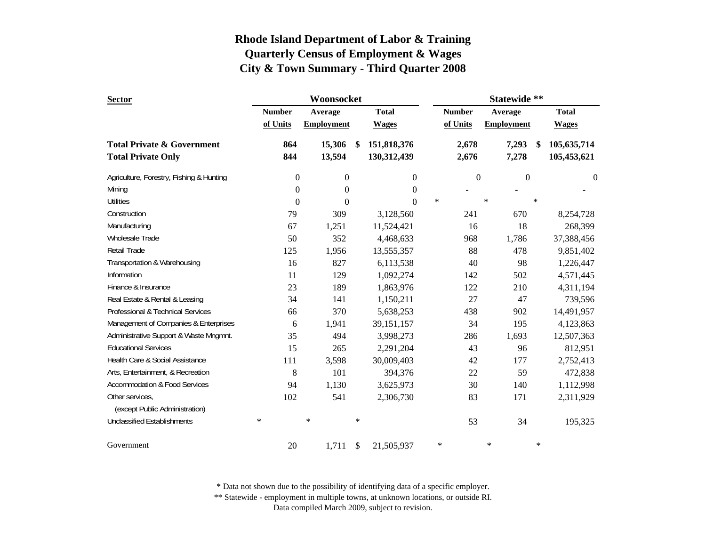| <b>Sector</b>                            |               | Woonsocket        |        |                  | Statewide ** |                  |        |                   |        |                  |  |
|------------------------------------------|---------------|-------------------|--------|------------------|--------------|------------------|--------|-------------------|--------|------------------|--|
|                                          | <b>Number</b> | Average           |        | <b>Total</b>     |              | <b>Number</b>    |        | Average           |        | <b>Total</b>     |  |
|                                          | of Units      | <b>Employment</b> |        | <b>Wages</b>     |              | of Units         |        | <b>Employment</b> |        | <b>Wages</b>     |  |
| <b>Total Private &amp; Government</b>    | 864           | 15,306            | -S     | 151,818,376      |              | 2,678            |        | 7,293             | -S     | 105,635,714      |  |
| <b>Total Private Only</b>                | 844           | 13,594            |        | 130,312,439      |              | 2,676            |        | 7,278             |        | 105,453,621      |  |
| Agriculture, Forestry, Fishing & Hunting | 0             | $\boldsymbol{0}$  |        | $\boldsymbol{0}$ |              | $\boldsymbol{0}$ |        | $\boldsymbol{0}$  |        | $\boldsymbol{0}$ |  |
| Mining                                   | $\theta$      | $\boldsymbol{0}$  |        | $\boldsymbol{0}$ |              |                  |        |                   |        |                  |  |
| <b>Utilities</b>                         | $\theta$      | $\mathbf{0}$      |        | $\Omega$         | $\ast$       |                  | $\ast$ |                   | $\ast$ |                  |  |
| Construction                             | 79            | 309               |        | 3,128,560        |              | 241              |        | 670               |        | 8,254,728        |  |
| Manufacturing                            | 67            | 1,251             |        | 11,524,421       |              | 16               |        | 18                |        | 268,399          |  |
| Wholesale Trade                          | 50            | 352               |        | 4,468,633        |              | 968              |        | 1,786             |        | 37,388,456       |  |
| Retail Trade                             | 125           | 1,956             |        | 13,555,357       |              | 88               |        | 478               |        | 9,851,402        |  |
| Transportation & Warehousing             | 16            | 827               |        | 6,113,538        |              | 40               |        | 98                |        | 1,226,447        |  |
| Information                              | 11            | 129               |        | 1,092,274        |              | 142              |        | 502               |        | 4,571,445        |  |
| Finance & Insurance                      | 23            | 189               |        | 1,863,976        |              | 122              |        | 210               |        | 4,311,194        |  |
| Real Estate & Rental & Leasing           | 34            | 141               |        | 1,150,211        |              | 27               |        | 47                |        | 739,596          |  |
| Professional & Technical Services        | 66            | 370               |        | 5,638,253        |              | 438              |        | 902               |        | 14,491,957       |  |
| Management of Companies & Enterprises    | 6             | 1,941             |        | 39,151,157       |              | 34               |        | 195               |        | 4,123,863        |  |
| Administrative Support & Waste Mngmnt.   | 35            | 494               |        | 3,998,273        |              | 286              |        | 1,693             |        | 12,507,363       |  |
| <b>Educational Services</b>              | 15            | 265               |        | 2,291,204        |              | 43               |        | 96                |        | 812,951          |  |
| Health Care & Social Assistance          | 111           | 3,598             |        | 30,009,403       |              | 42               |        | 177               |        | 2,752,413        |  |
| Arts, Entertainment, & Recreation        | 8             | 101               |        | 394,376          |              | 22               |        | 59                |        | 472,838          |  |
| <b>Accommodation &amp; Food Services</b> | 94            | 1,130             |        | 3,625,973        |              | 30               |        | 140               |        | 1,112,998        |  |
| Other services,                          | 102           | 541               |        | 2,306,730        |              | 83               |        | 171               |        | 2,311,929        |  |
| (except Public Administration)           |               |                   |        |                  |              |                  |        |                   |        |                  |  |
| <b>Unclassified Establishments</b>       | $\ast$        | $\ast$            | $\ast$ |                  |              | 53               |        | 34                |        | 195,325          |  |
| Government                               | 20            | 1,711             | \$     | 21,505,937       | $\ast$       |                  | $\ast$ |                   | $\ast$ |                  |  |

\* Data not shown due to the possibility of identifying data of a specific employer.

\*\* Statewide - employment in multiple towns, at unknown locations, or outside RI.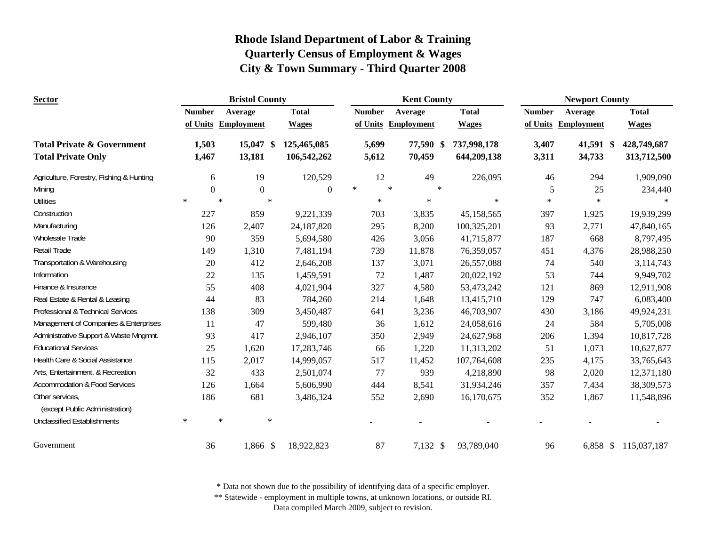| <b>Sector</b>                                     |                  | <b>Bristol County</b> |              |               | <b>Kent County</b>  |              | <b>Newport County</b> |                     |                      |  |  |
|---------------------------------------------------|------------------|-----------------------|--------------|---------------|---------------------|--------------|-----------------------|---------------------|----------------------|--|--|
|                                                   | <b>Number</b>    | Average               | <b>Total</b> | <b>Number</b> | Average             | <b>Total</b> | <b>Number</b>         | Average             | <b>Total</b>         |  |  |
|                                                   |                  | of Units Employment   | <b>Wages</b> |               | of Units Employment | <b>Wages</b> |                       | of Units Employment | <b>Wages</b>         |  |  |
| <b>Total Private &amp; Government</b>             | 1,503            | 15,047 \$             | 125,465,085  | 5,699         | 77,590 \$           | 737,998,178  | 3,407                 | 41,591 \$           | 428,749,687          |  |  |
| <b>Total Private Only</b>                         | 1,467            | 13,181                | 106,542,262  | 5,612         | 70,459              | 644,209,138  | 3,311                 | 34,733              | 313,712,500          |  |  |
| Agriculture, Forestry, Fishing & Hunting          | 6                | 19                    | 120,529      | 12            | 49                  | 226,095      | 46                    | 294                 | 1,909,090            |  |  |
| Mining                                            | $\boldsymbol{0}$ | $\overline{0}$        | $\mathbf{0}$ | $\ast$        | $\ast$<br>$\ast$    |              | 5                     | 25                  | 234,440              |  |  |
| <b>Utilities</b>                                  | $\ast$           | $\star$               | $\ast$       | $\ast$        | $\ast$              | $\ast$       | $\ast$                | $\ast$              |                      |  |  |
| Construction                                      | 227              | 859                   | 9,221,339    | 703           | 3,835               | 45,158,565   | 397                   | 1,925               | 19,939,299           |  |  |
| Manufacturing                                     | 126              | 2,407                 | 24,187,820   | 295           | 8,200               | 100,325,201  | 93                    | 2,771               | 47,840,165           |  |  |
| Wholesale Trade                                   | 90               | 359                   | 5,694,580    | 426           | 3,056               | 41,715,877   | 187                   | 668                 | 8,797,495            |  |  |
| <b>Retail Trade</b>                               | 149              | 1,310                 | 7,481,194    | 739           | 11,878              | 76,359,057   | 451                   | 4,376               | 28,988,250           |  |  |
| Transportation & Warehousing                      | 20               | 412                   | 2,646,208    | 137           | 3,071               | 26,557,088   | 74                    | 540                 | 3,114,743            |  |  |
| Information                                       | 22               | 135                   | 1,459,591    | 72            | 1,487               | 20,022,192   | 53                    | 744                 | 9,949,702            |  |  |
| Finance & Insurance                               | 55               | 408                   | 4,021,904    | 327           | 4,580               | 53,473,242   | 121                   | 869                 | 12,911,908           |  |  |
| Real Estate & Rental & Leasing                    | 44               | 83                    | 784,260      | 214           | 1,648               | 13,415,710   | 129                   | 747                 | 6,083,400            |  |  |
| Professional & Technical Services                 | 138              | 309                   | 3,450,487    | 641           | 3,236               | 46,703,907   | 430                   | 3,186               | 49,924,231           |  |  |
| Management of Companies & Enterprises             | 11               | 47                    | 599,480      | 36            | 1,612               | 24,058,616   | 24                    | 584                 | 5,705,008            |  |  |
| Administrative Support & Waste Mngmnt.            | 93               | 417                   | 2,946,107    | 350           | 2,949               | 24,627,968   | 206                   | 1,394               | 10,817,728           |  |  |
| <b>Educational Services</b>                       | 25               | 1,620                 | 17,283,746   | 66            | 1,220               | 11,313,202   | 51                    | 1,073               | 10,627,877           |  |  |
| Health Care & Social Assistance                   | 115              | 2,017                 | 14,999,057   | 517           | 11,452              | 107,764,608  | 235                   | 4,175               | 33,765,643           |  |  |
| Arts, Entertainment, & Recreation                 | 32               | 433                   | 2,501,074    | 77            | 939                 | 4,218,890    | 98                    | 2,020               | 12,371,180           |  |  |
| <b>Accommodation &amp; Food Services</b>          | 126              | 1,664                 | 5,606,990    | 444           | 8,541               | 31,934,246   | 357                   | 7,434               | 38,309,573           |  |  |
| Other services,<br>(except Public Administration) | 186              | 681                   | 3,486,324    | 552           | 2,690               | 16,170,675   | 352                   | 1,867               | 11,548,896           |  |  |
| <b>Unclassified Establishments</b>                | $\ast$           | $\ast$                | $\ast$       |               |                     |              |                       |                     |                      |  |  |
| Government                                        | 36               | 1,866 \$              | 18,922,823   | 87            | 7,132 \$            | 93,789,040   | 96                    |                     | 6,858 \$ 115,037,187 |  |  |

\* Data not shown due to the possibility of identifying data of a specific employer.

\*\* Statewide - employment in multiple towns, at unknown locations, or outside RI.